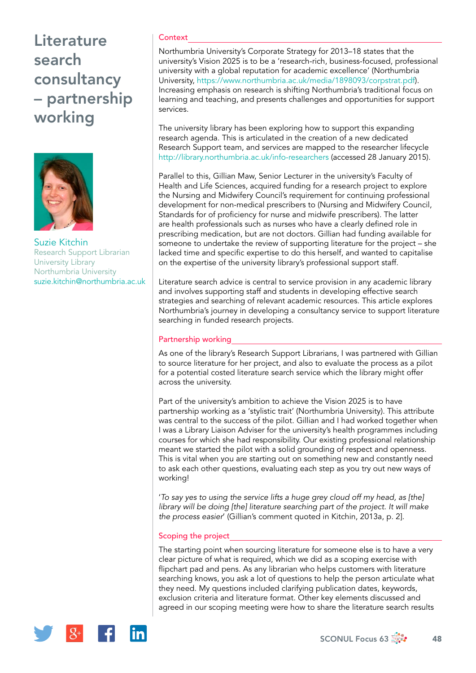# **Literature** search consultancy – partnership working



Suzie Kitchin Research Support Librarian University Library Northumbria University [suzie.kitchin@northumbria.ac.uk](mailto:suzie.kitchin@northumbria.ac.uk)

### **Context**

Northumbria University's Corporate Strategy for 2013–18 states that the university's Vision 2025 is to be a 'research-rich, business-focused, professional university with a global reputation for academic excellence' (Northumbria University,<https://www.northumbria.ac.uk/media/1898093/corpstrat.pdf>). Increasing emphasis on research is shifting Northumbria's traditional focus on learning and teaching, and presents challenges and opportunities for support services.

The university library has been exploring how to support this expanding research agenda. This is articulated in the creation of a new dedicated Research Support team, and services are mapped to the researcher lifecycle <http://library.northumbria.ac.uk/info-researchers> (accessed 28 January 2015).

Parallel to this, Gillian Maw, Senior Lecturer in the university's Faculty of Health and Life Sciences, acquired funding for a research project to explore the Nursing and Midwifery Council's requirement for continuing professional development for non-medical prescribers to (Nursing and Midwifery Council, Standards for of proficiency for nurse and midwife prescribers). The latter are health professionals such as nurses who have a clearly defined role in prescribing medication, but are not doctors. Gillian had funding available for someone to undertake the review of supporting literature for the project – she lacked time and specific expertise to do this herself, and wanted to capitalise on the expertise of the university library's professional support staff.

Literature search advice is central to service provision in any academic library and involves supporting staff and students in developing effective search strategies and searching of relevant academic resources. This article explores Northumbria's journey in developing a consultancy service to support literature searching in funded research projects.

### Partnership working

As one of the library's Research Support Librarians, I was partnered with Gillian to source literature for her project, and also to evaluate the process as a pilot for a potential costed literature search service which the library might offer across the university.

Part of the university's ambition to achieve the Vision 2025 is to have partnership working as a 'stylistic trait' (Northumbria University). This attribute was central to the success of the pilot. Gillian and I had worked together when I was a Library Liaison Adviser for the university's health programmes including courses for which she had responsibility. Our existing professional relationship meant we started the pilot with a solid grounding of respect and openness. This is vital when you are starting out on something new and constantly need to ask each other questions, evaluating each step as you try out new ways of working!

'*To say yes to using the service lifts a huge grey cloud off my head, as [the]*  library will be doing [the] literature searching part of the project. It will make *the process easier*' (Gillian's comment quoted in Kitchin, 2013a, p. 2].

### Scoping the project

The starting point when sourcing literature for someone else is to have a very clear picture of what is required, which we did as a scoping exercise with flipchart pad and pens. As any librarian who helps customers with literature searching knows, you ask a lot of questions to help the person articulate what they need. My questions included clarifying publication dates, keywords, exclusion criteria and literature format. Other key elements discussed and agreed in our scoping meeting were how to share the literature search results

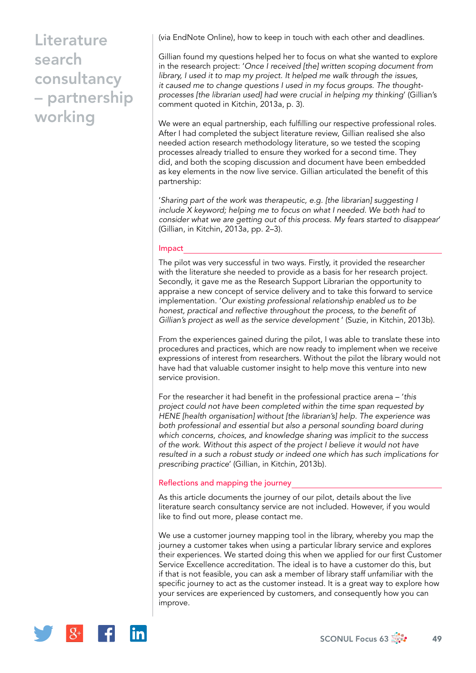# **Literature** search consultancy – partnership working

(via EndNote Online), how to keep in touch with each other and deadlines.

Gillian found my questions helped her to focus on what she wanted to explore in the research project: '*Once I received [the] written scoping document from library, I used it to map my project. It helped me walk through the issues, it caused me to change questions I used in my focus groups. The thoughtprocesses [the librarian used] had were crucial in helping my thinking*' (Gillian's comment quoted in Kitchin, 2013a, p. 3).

We were an equal partnership, each fulfilling our respective professional roles. After I had completed the subject literature review, Gillian realised she also needed action research methodology literature, so we tested the scoping processes already trialled to ensure they worked for a second time. They did, and both the scoping discussion and document have been embedded as key elements in the now live service. Gillian articulated the benefit of this partnership:

'*Sharing part of the work was therapeutic, e.g. [the librarian] suggesting I include X keyword; helping me to focus on what I needed. We both had to consider what we are getting out of this process. My fears started to disappear*' (Gillian, in Kitchin, 2013a, pp. 2–3).

### Impact

The pilot was very successful in two ways. Firstly, it provided the researcher with the literature she needed to provide as a basis for her research project. Secondly, it gave me as the Research Support Librarian the opportunity to appraise a new concept of service delivery and to take this forward to service implementation. '*Our existing professional relationship enabled us to be honest, practical and reflective throughout the process, to the benefit of Gillian's project as well as the service development* ' (Suzie, in Kitchin, 2013b).

From the experiences gained during the pilot, I was able to translate these into procedures and practices, which are now ready to implement when we receive expressions of interest from researchers. Without the pilot the library would not have had that valuable customer insight to help move this venture into new service provision.

For the researcher it had benefit in the professional practice arena – '*this project could not have been completed within the time span requested by HENE [health organisation] without [the librarian's] help. The experience was both professional and essential but also a personal sounding board during which concerns, choices, and knowledge sharing was implicit to the success of the work. Without this aspect of the project I believe it would not have resulted in a such a robust study or indeed one which has such implications for prescribing practice*' (Gillian, in Kitchin, 2013b).

### Reflections and mapping the journey

As this article documents the journey of our pilot, details about the live literature search consultancy service are not included. However, if you would like to find out more, please contact me.

We use a customer journey mapping tool in the library, whereby you map the journey a customer takes when using a particular library service and explores their experiences. We started doing this when we applied for our first Customer Service Excellence accreditation. The ideal is to have a customer do this, but if that is not feasible, you can ask a member of library staff unfamiliar with the specific journey to act as the customer instead. It is a great way to explore how your services are experienced by customers, and consequently how you can improve.